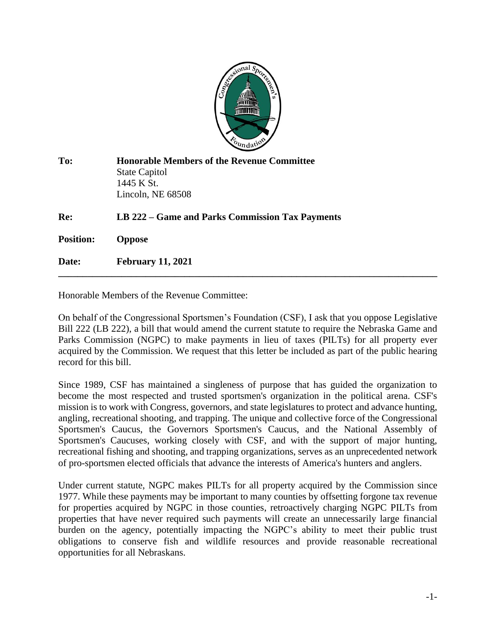

| To:              | <b>Honorable Members of the Revenue Committee</b><br><b>State Capitol</b><br>1445 K St.<br>Lincoln, NE 68508 |
|------------------|--------------------------------------------------------------------------------------------------------------|
| Re:              | LB 222 – Game and Parks Commission Tax Payments                                                              |
| <b>Position:</b> | <b>Oppose</b>                                                                                                |
| Date:            | <b>February 11, 2021</b>                                                                                     |

Honorable Members of the Revenue Committee:

On behalf of the Congressional Sportsmen's Foundation (CSF), I ask that you oppose Legislative Bill 222 (LB 222), a bill that would amend the current statute to require the Nebraska Game and Parks Commission (NGPC) to make payments in lieu of taxes (PILTs) for all property ever acquired by the Commission. We request that this letter be included as part of the public hearing record for this bill.

Since 1989, CSF has maintained a singleness of purpose that has guided the organization to become the most respected and trusted sportsmen's organization in the political arena. CSF's mission is to work with Congress, governors, and state legislatures to protect and advance hunting, angling, recreational shooting, and trapping. The unique and collective force of the Congressional Sportsmen's Caucus, the Governors Sportsmen's Caucus, and the National Assembly of Sportsmen's Caucuses, working closely with CSF, and with the support of major hunting, recreational fishing and shooting, and trapping organizations, serves as an unprecedented network of pro-sportsmen elected officials that advance the interests of America's hunters and anglers.

Under current statute, NGPC makes PILTs for all property acquired by the Commission since 1977. While these payments may be important to many counties by offsetting forgone tax revenue for properties acquired by NGPC in those counties, retroactively charging NGPC PILTs from properties that have never required such payments will create an unnecessarily large financial burden on the agency, potentially impacting the NGPC's ability to meet their public trust obligations to conserve fish and wildlife resources and provide reasonable recreational opportunities for all Nebraskans.